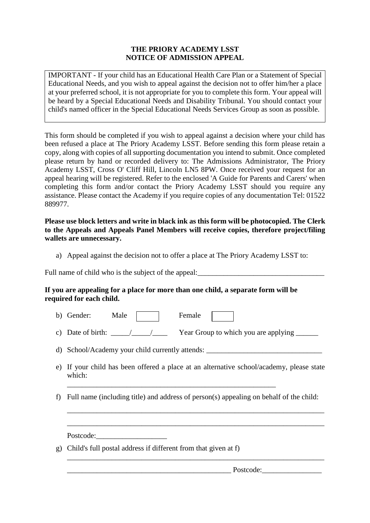## **THE PRIORY ACADEMY LSST NOTICE OF ADMISSION APPEAL**

IMPORTANT - If your child has an Educational Health Care Plan or a Statement of Special Educational Needs, and you wish to appeal against the decision not to offer him/her a place at your preferred school, it is not appropriate for you to complete this form. Your appeal will be heard by a Special Educational Needs and Disability Tribunal. You should contact your child's named officer in the Special Educational Needs Services Group as soon as possible.

This form should be completed if you wish to appeal against a decision where your child has been refused a place at The Priory Academy LSST. Before sending this form please retain a copy, along with copies of all supporting documentation you intend to submit. Once completed please return by hand or recorded delivery to: The Admissions Administrator, The Priory Academy LSST, Cross O' Cliff Hill, Lincoln LN5 8PW. Once received your request for an appeal hearing will be registered. Refer to the enclosed 'A Guide for Parents and Carers' when completing this form and/or contact the Priory Academy LSST should you require any assistance. Please contact the Academy if you require copies of any documentation Tel: 01522 889977.

**Please use block letters and write in black ink as this form will be photocopied. The Clerk to the Appeals and Appeals Panel Members will receive copies, therefore project/filing wallets are unnecessary.**

a) Appeal against the decision not to offer a place at The Priory Academy LSST to:

Full name of child who is the subject of the appeal:\_\_\_\_\_\_\_\_\_\_\_\_\_\_\_\_\_\_\_\_\_\_\_\_\_\_\_\_\_\_\_\_\_\_

## **If you are appealing for a place for more than one child, a separate form will be required for each child.**

- b) Gender: Male Female
- c) Date of birth:  $\frac{1}{2}$  Year Group to which you are applying \_\_\_\_\_\_
- d) School/Academy your child currently attends:

\_\_\_\_\_\_\_\_\_\_\_\_\_\_\_\_\_\_\_\_\_\_\_\_\_\_\_\_\_\_\_\_\_\_\_\_\_\_\_\_\_\_\_\_\_\_\_\_\_\_\_\_\_\_\_\_

- e) If your child has been offered a place at an alternative school/academy, please state which:
- f) Full name (including title) and address of person(s) appealing on behalf of the child:

\_\_\_\_\_\_\_\_\_\_\_\_\_\_\_\_\_\_\_\_\_\_\_\_\_\_\_\_\_\_\_\_\_\_\_\_\_\_\_\_\_\_\_\_\_\_\_\_\_\_\_\_\_\_\_\_\_\_\_\_\_\_\_\_\_\_\_\_\_

\_\_\_\_\_\_\_\_\_\_\_\_\_\_\_\_\_\_\_\_\_\_\_\_\_\_\_\_\_\_\_\_\_\_\_\_\_\_\_\_\_\_\_\_\_\_\_\_\_\_\_\_\_\_\_\_\_\_\_\_\_\_\_\_\_\_\_\_\_

\_\_\_\_\_\_\_\_\_\_\_\_\_\_\_\_\_\_\_\_\_\_\_\_\_\_\_\_\_\_\_\_\_\_\_\_\_\_\_\_\_\_\_\_\_\_\_\_\_\_\_\_\_\_\_\_\_\_\_\_\_\_\_\_\_\_\_\_\_

Postcode:

g) Child's full postal address if different from that given at f)

Postcode: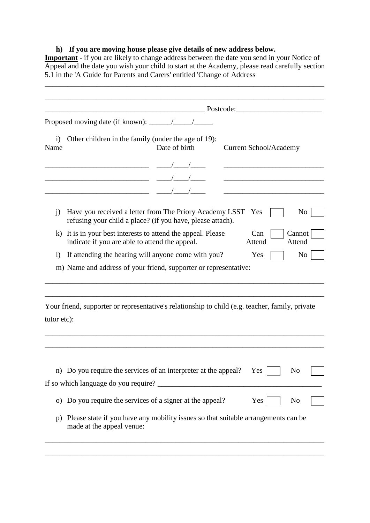## **h) If you are moving house please give details of new address below.**

**Important** - if you are likely to change address between the date you send in your Notice of Appeal and the date you wish your child to start at the Academy, please read carefully section 5.1 in the 'A Guide for Parents and Carers' entitled 'Change of Address

\_\_\_\_\_\_\_\_\_\_\_\_\_\_\_\_\_\_\_\_\_\_\_\_\_\_\_\_\_\_\_\_\_\_\_\_\_\_\_\_\_\_\_\_\_\_\_\_\_\_\_\_\_\_\_\_\_\_\_\_\_\_\_\_\_\_\_\_\_\_\_\_\_\_\_

|                    |                                                                                                                                                                                                        |  |                               | Postcode: Postcode: |  |                                                   |                  |                |  |
|--------------------|--------------------------------------------------------------------------------------------------------------------------------------------------------------------------------------------------------|--|-------------------------------|---------------------|--|---------------------------------------------------|------------------|----------------|--|
|                    |                                                                                                                                                                                                        |  |                               |                     |  |                                                   |                  |                |  |
| $\ddot{1}$<br>Name | Other children in the family (under the age of 19):                                                                                                                                                    |  | <b>Current School/Academy</b> |                     |  |                                                   |                  |                |  |
|                    |                                                                                                                                                                                                        |  |                               |                     |  |                                                   |                  |                |  |
|                    |                                                                                                                                                                                                        |  |                               |                     |  | <u> 1989 - Johann Barbara, martxa alemaniar a</u> |                  |                |  |
|                    | $\overline{\phantom{a}}$ and $\overline{\phantom{a}}$ and $\overline{\phantom{a}}$ and $\overline{\phantom{a}}$ and $\overline{\phantom{a}}$ and $\overline{\phantom{a}}$ and $\overline{\phantom{a}}$ |  |                               |                     |  |                                                   |                  |                |  |
| $\mathbf{i}$       | Have you received a letter from The Priory Academy LSST Yes<br>refusing your child a place? (if you have, please attach).                                                                              |  |                               |                     |  |                                                   |                  | N <sub>0</sub> |  |
| $\bf k$            | It is in your best interests to attend the appeal. Please<br>Can<br>indicate if you are able to attend the appeal.<br>Attend                                                                           |  |                               |                     |  |                                                   | Cannot<br>Attend |                |  |
| $\mathbf{I}$       | If attending the hearing will anyone come with you?                                                                                                                                                    |  |                               |                     |  | Yes                                               |                  | N <sub>0</sub> |  |
|                    | m) Name and address of your friend, supporter or representative:                                                                                                                                       |  |                               |                     |  |                                                   |                  |                |  |
|                    |                                                                                                                                                                                                        |  |                               |                     |  |                                                   |                  |                |  |
|                    | Your friend, supporter or representative's relationship to child (e.g. teacher, family, private                                                                                                        |  |                               |                     |  |                                                   |                  |                |  |
|                    |                                                                                                                                                                                                        |  |                               |                     |  |                                                   |                  |                |  |
| tutor etc):        | n) Do you require the services of an interpreter at the appeal?                                                                                                                                        |  |                               |                     |  | Yes                                               |                  | No             |  |
|                    | If so which language do you require?                                                                                                                                                                   |  |                               |                     |  |                                                   |                  |                |  |
|                    | o) Do you require the services of a signer at the appeal?                                                                                                                                              |  |                               |                     |  | Yes                                               |                  | No             |  |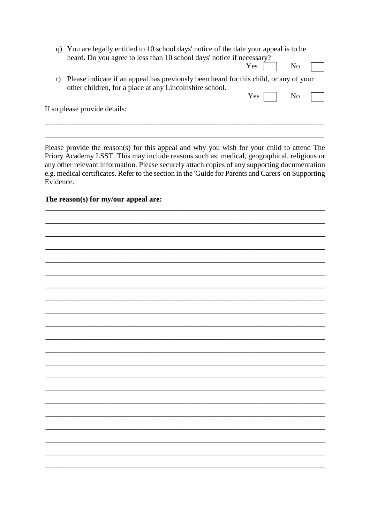q) You are legally entitled to 10 school days' notice of the date your appeal is to be heard. Do you agree to less than 10 school days' notice if necessary?

| . .<br>Y es | No<br>- |  |
|-------------|---------|--|
|             |         |  |

N<sub>o</sub>

 $Yes \lceil$ 

r) Please indicate if an appeal has previously been heard for this child, or any of your other children, for a place at any Lincolnshire school.

If so please provide details:

Please provide the reason(s) for this appeal and why you wish for your child to attend The Priory Academy LSST. This may include reasons such as: medical, geographical, religious or any other relevant information. Please securely attach copies of any supporting documentation e.g. medical certificates. Refer to the section in the 'Guide for Parents and Carers' on Supporting Evidence

The reason(s) for my/our appeal are: